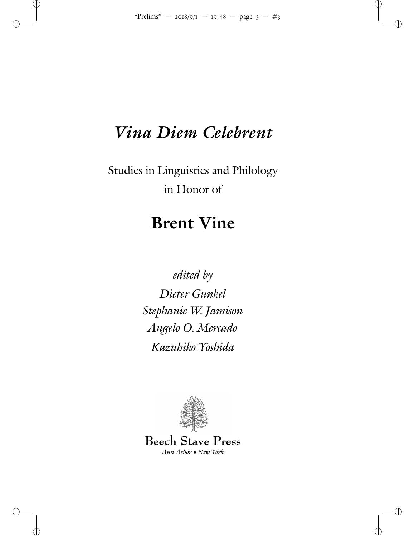✐

✐

 $\oplus$ 

✐

✐

✐

 $\bigoplus$ 

# *Vina Diem Celebrent*

Studies in Linguistics and Philology in Honor of

# **Brent Vine**

edited by Dieter Gunkel Stephanie W. Jamison Angelo O. Mercado Kazuhiko Yoshida



**Beech Stave Press** Ann Arbor • New York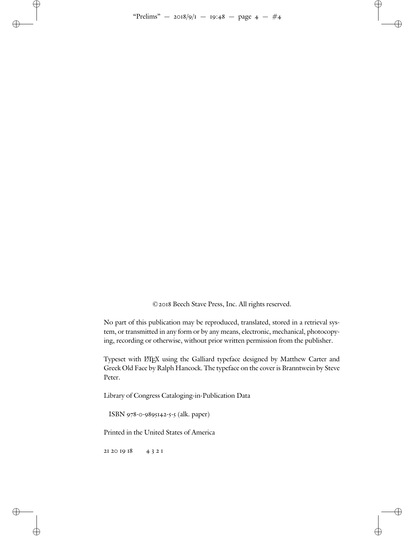✐

 $\oplus$ 

 $\bigoplus$ 

✐

✐

 $\bigoplus$ 

 $\oplus$ 

© Beech Stave Press, Inc. All rights reserved.

No part of this publication may be reproduced, translated, stored in a retrieval system, or transmitted in any form or by any means, electronic, mechanical, photocopying, recording or otherwise, without prior written permission from the publisher.

Typeset with LHEX using the Galliard typeface designed by Matthew Carter and Greek Old Face by Ralph Hancock. The typeface on the cover is Branntwein by Steve Peter.

Library of Congress Cataloging-in-Publication Data

ISBN 978-0-9895142-5-5 (alk. paper)

Printed in the United States of America

2I 2O 19 18 4 3 2 1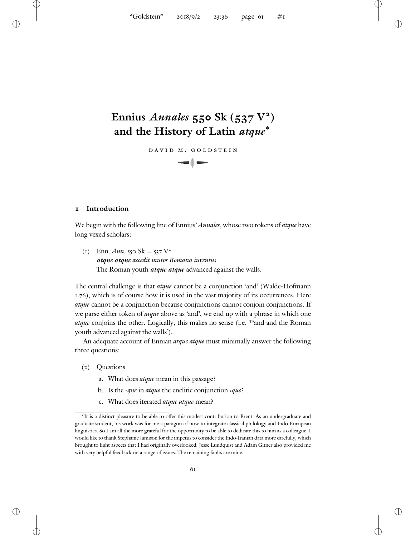✐

✐

 $\oplus$ 

# Ennius *Annales* 550 Sk (537 V<sup>2</sup>) **and the History of Latin** *atque* **\***

DAVID M. GOLDSTEIN  $=\rVert =$ 

#### **Introduction**

✐

✐

✐

 $\oplus$ 

We begin with the following line of Ennius' Annales, whose two tokens of atque have long vexed scholars:

(1) Enn. Ann.  $550 \text{ Sk} = 537 \text{ V}^2$ *atque atque* accedit muros Romana iuventus The Roman youth *atque atque* advanced against the walls.

The central challenge is that atque cannot be a conjunction 'and' (Walde-Hofmann .), which is of course how it is used in the vast majority of its occurrences. Here atque cannot be a conjunction because conjunctions cannot conjoin conjunctions. If we parse either token of *atque* above as 'and', we end up with a phrase in which one atque conjoins the other. Logically, this makes no sense (i.e. \*'and and the Roman youth advanced against the walls').

An adequate account of Ennian *atque atque* must minimally answer the following three questions:

- (2) Questions
	- a. What does atque mean in this passage?
	- b. Is the -que in atque the enclitic conjunction =que?
	- c. What does iterated atque atque mean?

<sup>∗</sup> It is a distinct pleasure to be able to offer this modest contribution to Brent. As an undergraduate and graduate student, his work was for me a paragon of how to integrate classical philology and Indo-European linguistics. So I am all the more grateful for the opportunity to be able to dedicate this to him as a colleague. I would like to thank Stephanie Jamison for the impetus to consider the Indo-Iranian data more carefully, which brought to light aspects that I had originally overlooked. Jesse Lundquist and Adam Gitner also provided me with very helpful feedback on a range of issues. The remaining faults are mine.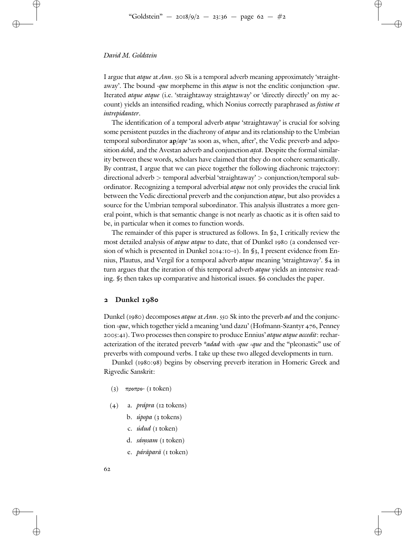✐

 $\oplus$ 

I argue that  $atque$  at  $Ann.$   $550$  Sk is a temporal adverb meaning approximately 'straightaway'. The bound -que morpheme in this  $\alpha$ tque is not the enclitic conjunction =que. Iterated *atque atque* (i.e. 'straightaway straightaway' or 'directly directly' on my account) yields an intensified reading, which Nonius correctly paraphrased as *festine et* intrepidanter.

✐

✐

✐

 $\oplus$ 

The identification of a temporal adverb *atque* 'straightaway' is crucial for solving some persistent puzzles in the diachrony of  $atque$  and its relationship to the Umbrian temporal subordinator **ap**/ape 'as soon as, when, after', the Vedic preverb and adposition *áchā*, and the Avestan adverb and conjunction atcā. Despite the formal similar-˜ ity between these words, scholars have claimed that they do not cohere semantically. By contrast, I argue that we can piece together the following diachronic trajectory: directional adverb > temporal adverbial 'straightaway' > conjunction/temporal subordinator. Recognizing a temporal adverbial *atque* not only provides the crucial link between the Vedic directional preverb and the conjunction *atque*, but also provides a source for the Umbrian temporal subordinator. This analysis illustrates a more general point, which is that semantic change is not nearly as chaotic as it is often said to be, in particular when it comes to function words.

The remainder of this paper is structured as follows. In  $\S$ 2, I critically review the most detailed analysis of atque atque to date, that of Dunkel 1980 (a condensed version of which is presented in Dunkel  $2014:10–1$ . In §3, I present evidence from Ennius, Plautus, and Vergil for a temporal adverb *atque* meaning 'straightaway'. \$4 in turn argues that the iteration of this temporal adverb *atque* yields an intensive reading. \$5 then takes up comparative and historical issues. \$6 concludes the paper.

#### 2 Dunkel 1980

Dunkel (1980) decomposes atque at Ann. 550 Sk into the preverb ad and the conjunction =que, which together yield a meaning 'und dazu' (Hofmann-Szantyr 476, Penney 2005:41). Two processes then conspire to produce Ennius' atque atque accedit: recharacterization of the iterated preverb \**adad* with  $\frac{1}{2}$  = que and the "pleonastic" use of preverbs with compound verbs. I take up these two alleged developments in turn.

Dunkel (1980:98) begins by observing preverb iteration in Homeric Greek and Rigvedic Sanskrit:

- (3)  $προπρο$  (1 token)
- (4) a.  $prápra$  (12 tokens)
	- b. *úpopa*  $(3$  tokens)
	- c. *údud* (*I* token)
	- d. *sáṃsam* (1 token)
	- e. *párāparā* (*i* token)

✐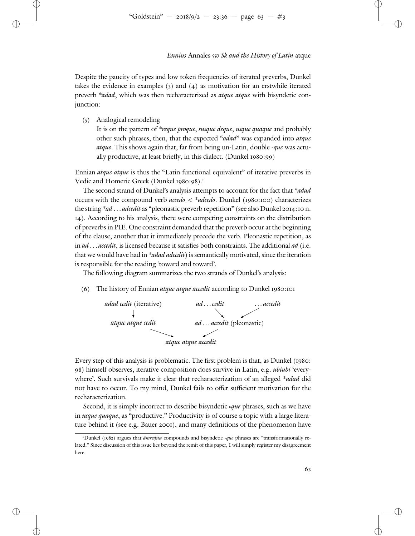✐

✐

✐

✐

Despite the paucity of types and low token frequencies of iterated preverbs, Dunkel takes the evidence in examples  $(3)$  and  $(4)$  as motivation for an erstwhile iterated preverb \*adad, which was then recharacterized as atque atque with bisyndetic conjunction:

() Analogical remodeling

✐

✐

✐

✐

It is on the pattern of \*reque proque, susque deque, usque quaque and probably other such phrases, then, that the expected "adad" was expanded into atque atque. This shows again that, far from being un-Latin, double *-que* was actually productive, at least briefly, in this dialect. (Dunkel 1980:99)

Ennian atque atque is thus the "Latin functional equivalent" of iterative preverbs in Vedic and Homeric Greek (Dunkel 1980:98).<sup>1</sup>

The second strand of Dunkel's analysis attempts to account for the fact that \**adad* occurs with the compound verb  $\text{accelo} < \text{*} \text{added}$ . Dunkel (1980:100) characterizes the string  $*ad \dots adcedit$  as "pleonastic preverb repetition" (see also Dunkel 2014:10 n. ). According to his analysis, there were competing constraints on the distribution of preverbs in PIE. One constraint demanded that the preverb occur at the beginning of the clause, another that it immediately precede the verb. Pleonastic repetition, as in ad ... accedit, is licensed because it satisfies both constraints. The additional ad (i.e. that we would have had in \*adad adcedit) is semantically motivated, since the iteration is responsible for the reading 'toward and toward'.

The following diagram summarizes the two strands of Dunkel's analysis:

(6) The history of Ennian *atque atque accedit* according to Dunkel  $1980:101$ 



Every step of this analysis is problematic. The first problem is that, as Dunkel (1980: 98) himself observes, iterative composition does survive in Latin, e.g. ubiubi 'everywhere'. Such survivals make it clear that recharacterization of an alleged \*adad did not have to occur. To my mind, Dunkel fails to offer sufficient motivation for the recharacterization.

Second, it is simply incorrect to describe bisyndetic =que phrases, such as we have in usque quaque, as "productive." Productivity is of course a topic with a large literature behind it (see e.g. Bauer 2001), and many definitions of the phenomenon have

<sup>&</sup>lt;sup>1</sup>Dunkel (1982) argues that *āmredita* compounds and bisyndetic =que phrases are "transformationally related." Since discussion of this issue lies beyond the remit of this paper, I will simply register my disagreement here.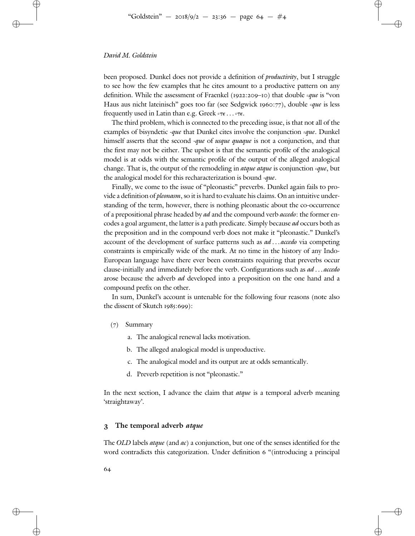✐

 $\oplus$ 

been proposed. Dunkel does not provide a definition of *productivity*, but I struggle to see how the few examples that he cites amount to a productive pattern on any definition. While the assessment of Fraenkel (1922:209–10) that double = que is "von Haus aus nicht lateinisch" goes too far (see Sedgwick 1960:77), double =que is less frequently used in Latin than e.g. Greek  $\tau \epsilon \dots \tau \tau \epsilon$ .

✐

✐

✐

 $\oplus$ 

The third problem, which is connected to the preceding issue, is that not all of the examples of bisyndetic -*que* that Dunkel cites involve the conjunction =*que*. Dunkel himself asserts that the second -que of usque quaque is not a conjunction, and that the first may not be either. The upshot is that the semantic profile of the analogical model is at odds with the semantic profile of the output of the alleged analogical change. That is, the output of the remodeling in *atque atque* is conjunction  $\square$ que, but the analogical model for this recharacterization is bound -que.

Finally, we come to the issue of "pleonastic" preverbs. Dunkel again fails to provide a definition of *pleonasm*, so it is hard to evaluate his claims. On an intuitive understanding of the term, however, there is nothing pleonastic about the co-occurrence of a prepositional phrase headed by *ad* and the compound verb *accedo*: the former encodes a goal argument, the latter is a path predicate. Simply because *ad* occurs both as the preposition and in the compound verb does not make it "pleonastic." Dunkel's account of the development of surface patterns such as *ad ... accedo* via competing constraints is empirically wide of the mark. At no time in the history of any Indo-European language have there ever been constraints requiring that preverbs occur clause-initially and immediately before the verb. Configurations such as  $ad \dots accedo$ arose because the adverb *ad* developed into a preposition on the one hand and a compound prefix on the other.

In sum, Dunkel's account is untenable for the following four reasons (note also the dissent of Skutch 1985:699):

- $(7)$  Summary
	- a. The analogical renewal lacks motivation.
	- b. The alleged analogical model is unproductive.
	- c. The analogical model and its output are at odds semantically.
	- d. Preverb repetition is not "pleonastic."

In the next section, I advance the claim that *atque* is a temporal adverb meaning 'straightaway'.

### **The temporal adverb** *atque*

The OLD labels  $\alpha t$ que (and  $\alpha c$ ) a conjunction, but one of the senses identified for the word contradicts this categorization. Under definition 6 "(introducing a principal

✐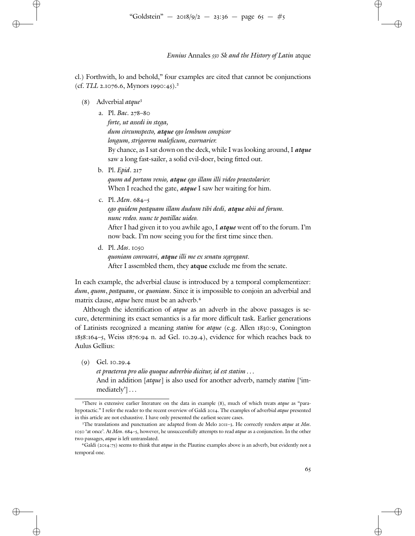✐

✐

✐

 $\oplus$ 

cl.) Forthwith, lo and behold," four examples are cited that cannot be conjunctions (cf. TLL 2.1076.6, Mynors 1990:45).<sup>2</sup>

(8) Adverbial  $atque<sup>3</sup>$ 

✐

✐

✐

 $\oplus$ 

a. Pl. Bac. 278-80

forte, ut assedi in stega, dum circumspecto, *atque* ego lembum conspicor longum, strigorem maleficum, exornarier. By chance, as I sat down on the deck, while I was looking around, I *atque* saw a long fast-sailer, a solid evil-doer, being fitted out.

b. Pl. Epid. 217

quom ad portam venio, *atque* ego illam illi video praestolarier. When I reached the gate, *atque* I saw her waiting for him.

c. Pl. *Men.*  $684 - 5$ 

ego quidem postquam illam dudum tibi dedi, *atque* abii ad forum. nunc redeo. nunc te postillac uideo.

After I had given it to you awhile ago, I *atque* went off to the forum. I'm now back. I'm now seeing you for the first time since then.

d. Pl. Mos. 1050

quoniam convocavi, *atque* illi me ex senatu segregant. After I assembled them, they **atque** exclude me from the senate.

In each example, the adverbial clause is introduced by a temporal complementizer: dum, quom, postquam, or quoniam. Since it is impossible to conjoin an adverbial and matrix clause, *atque* here must be an adverb.<sup>4</sup>

Although the identification of *atque* as an adverb in the above passages is secure, determining its exact semantics is a far more difficult task. Earlier generations of Latinists recognized a meaning *statim* for atque (e.g. Allen 1830:9, Conington 1858:164-5, Weiss 1876:94 n. ad Gel. 10.29.4), evidence for which reaches back to Aulus Gellius:

 $(9)$  Gel. 10.29.4

et praeterea pro alio quoque adverbio dicitur, id est statim . . . And in addition [atque] is also used for another adverb, namely statim ['immediately'] . . .

<sup>&</sup>lt;sup>2</sup>There is extensive earlier literature on the data in example (8), much of which treats *atque* as "parahypotactic." I refer the reader to the recent overview of Galdi 2014. The examples of adverbial atque presented in this article are not exhaustive. I have only presented the earliest secure cases.

<sup>&</sup>lt;sup>3</sup>The translations and punctuation are adapted from de Melo 2011-3. He correctly renders atque at Mos. 1050 'at once'. At Men. 684-5, however, he unsuccessfully attempts to read atque as a conjunction. In the other two passages, atque is left untranslated.

<sup>&</sup>lt;sup>4</sup>Galdi (2014:75) seems to think that atque in the Plautine examples above is an adverb, but evidently not a temporal one.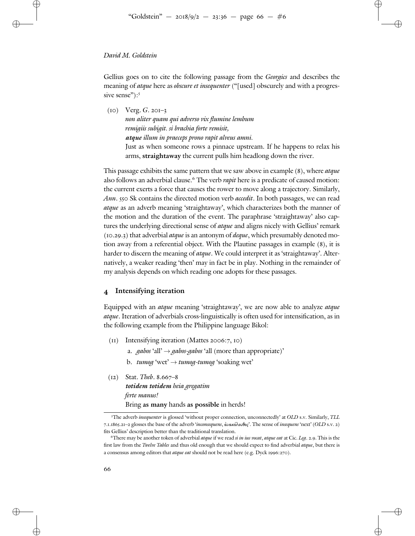✐

 $\oplus$ 

Gellius goes on to cite the following passage from the Georgics and describes the meaning of atque here as *obscure et insequenter* ("[used] obscurely and with a progressive sense"):<sup>5</sup>

✐

✐

✐

 $\oplus$ 

 $(10)$  Verg. G. 201–3 non aliter quam qui adverso vix flumine lembum remigiis subigit. si brachia forte remisit, *atque* illum in praeceps prono rapit alveus amni. Just as when someone rows a pinnace upstream. If he happens to relax his arms, **straightaway** the current pulls him headlong down the river.

This passage exhibits the same pattern that we saw above in example (8), where *atque* also follows an adverbial clause.<sup>6</sup> The verb *rapit* here is a predicate of caused motion: the current exerts a force that causes the rower to move along a trajectory. Similarly, Ann. 550 Sk contains the directed motion verb *accedit*. In both passages, we can read atque as an adverb meaning 'straightaway', which characterizes both the manner of the motion and the duration of the event. The paraphrase 'straightaway' also captures the underlying directional sense of *atque* and aligns nicely with Gellius' remark  $(10.29.3)$  that adverbial *atque* is an antonym of *deque*, which presumably denoted motion away from a referential object. With the Plautine passages in example  $(8)$ , it is harder to discern the meaning of atque. We could interpret it as 'straightaway'. Alternatively, a weaker reading 'then' may in fact be in play. Nothing in the remainder of my analysis depends on which reading one adopts for these passages.

#### **Intensifying iteration**

Equipped with an *atque* meaning 'straightaway', we are now able to analyze *atque* atque. Iteration of adverbials cross-linguistically is often used for intensification, as in the following example from the Philippine language Bikol:

- $(i)$  Intensifying iteration (Mattes 2006:7, 10)
	- a. gabos 'all'  $\rightarrow$  gabos-gabos 'all (more than appropriate)'
	- b. tumog 'wet'  $\rightarrow$  tumog-tumog 'soaking wet'
- $(I2)$  Stat. Theb. 8.667-8 *totidem totidem* heia gregatim ferte manus! Bring **as many** hands **as possible** in herds!

✐

<sup>&</sup>lt;sup>5</sup>The adverb insequenter is glossed 'without proper connection, unconnectedly' at OLD s.v. Similarly, TLL 7.1.1865.21-2 glosses the base of the adverb 'inconsequens, ἀνακόλουθος'. The sense of insequens 'next' (OLD s.v. 2) fits Gellius' description better than the traditional translation.

<sup>&</sup>lt;sup>6</sup>There may be another token of adverbial atque if we read si in ius vocat, atque eat at Cic. Leg. 2.9. This is the first law from the Twelve Tables and thus old enough that we should expect to find adverbial atque, but there is a consensus among editors that atque eat should not be read here (e.g. Dyck 1996:270).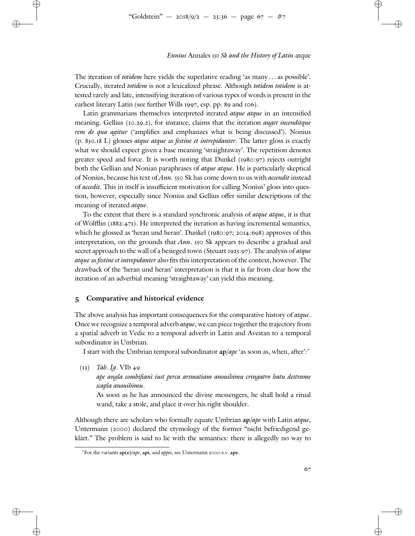✐

✐

✐

✐

The iteration of *totidem* here yields the superlative reading 'as many . . . as possible'. Crucially, iterated totidem is not a lexicalized phrase. Although totidem totidem is attested rarely and late, intensifying iteration of various types of words is present in the earliest literary Latin (see further Wills 1997, esp. pp. 89 and 106).

Latin grammarians themselves interpreted iterated *atque atque* in an intensified meaning. Gellius (10.29.2), for instance, claims that the iteration *auget incenditque rem de qua agitur* ('amplifies and emphasizes what is being discussed'). Nonius  $(p. 850.18 L)$  glosses atque atque as festine et intrepidanter. The latter gloss is exactly what we should expect given a base meaning 'straightaway'. The repetition denotes greater speed and force. It is worth noting that Dunkel (1980:97) rejects outright both the Gellian and Nonian paraphrases of *atque atque*. He is particularly skeptical of Nonius, because his text of  $Ann.$  550 Sk has come down to us with *accendit* instead of accedit. This in itself is insufficient motivation for calling Nonius' gloss into question, however, especially since Nonius and Gellius offer similar descriptions of the meaning of iterated atque.

To the extent that there is a standard synchronic analysis of *atque atque*, it is that of Wölfflin ( $1882:471$ ). He interpreted the iteration as having incremental semantics, which he glossed as 'heran und heran'. Dunkel  $(1980:97; 2014:698)$  approves of this interpretation, on the grounds that  $Ann.$  550 Sk appears to describe a gradual and secret approach to the wall of a besieged town (Steuart 1925:97). The analysis of *atque atque as festine et intrepidanter* also fits this interpretation of the context, however. The drawback of the 'heran und heran' interpretation is that it is far from clear how the iteration of an adverbial meaning 'straightaway' can yield this meaning.

#### **Comparative and historical evidence**

The above analysis has important consequences for the comparative history of *atque*. Once we recognize a temporal adverb *atque*, we can piece together the trajectory from a spatial adverb in Vedic to a temporal adverb in Latin and Avestan to a temporal subordinator in Umbrian.

I start with the Umbrian temporal subordinator **ap**/ape 'as soon as, when, after':

 $(i3)$  *Tab. Ig.* VIb 49

✐

✐

✐

 $\oplus$ 

# ape angla combifian`s iust perca arsmatiam anouihimu cringatro hatu destrame scapla anouihimu.

As soon as he has announced the divine messengers, he shall hold a ritual wand, take a stole, and place it over his right shoulder.

Although there are scholars who formally equate Umbrian **ap**/ape with Latin atque, Untermann (2000) declared the etymology of the former "nicht befriedigend geklärt." The problem is said to lie with the semantics: there is allegedly no way to

<sup>&</sup>lt;sup>7</sup>For the variants  $ap(e)/ape$ ,  $api$ , and  $appei$ , see Untermann 2000:s.v. ape.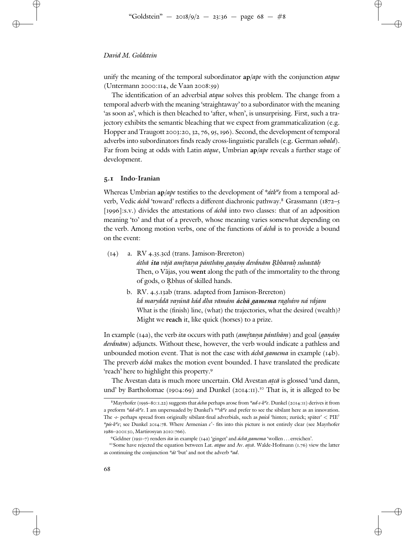✐

 $\oplus$ 

unify the meaning of the temporal subordinator **ap**/ape with the conjunction atque  $(Unterminal 2000:114, de Vaan 2008:59)$ 

✐

✐

✐

 $\oplus$ 

The identification of an adverbial *atque* solves this problem. The change from a temporal adverb with the meaning 'straightaway' to a subordinator with the meaning 'as soon as', which is then bleached to 'after, when', is unsurprising. First, such a trajectory exhibits the semantic bleaching that we expect from grammaticalization (e.g. Hopper and Traugott 2003:20, 32, 76, 95, 196). Second, the development of temporal adverbs into subordinators finds ready cross-linguistic parallels (e.g. German sobald). Far from being at odds with Latin atque, Umbrian **ap**/ape reveals a further stage of development.

### **. Indo-Iranian**

Whereas Umbrian  $ap/ape$  testifies to the development of \*atk"e from a temporal adverb, Vedic áchă 'toward' reflects a different diachronic pathway.<sup>8</sup> Grassmann (1872-5 [1996]:s.v.) divides the attestations of  $\hat{\alpha}$ cha $\check{\alpha}$  into two classes: that of an adposition meaning 'to' and that of a preverb, whose meaning varies somewhat depending on the verb. Among motion verbs, one of the functions of  $\hat{a}$ ch $\tilde{a}$  is to provide a bound on the event:

- $(14)$  a. RV 4.35.3cd (trans. Jamison-Brereton) áthā **ita** vājā amį́tasya pánthām ganám devānām Rbhavah suhastāh Then, o Vājas, you went along the path of the immortality to the throng of gods, o Rbhus of skilled hands.
	- b. RV. 4.5.13ab (trans. adapted from Jamison-Brereton) ká maryádā vayúnā kád dha vāmám **áchā gamema** raghávo ná vájam What is the (finish) line, (what) the trajectories, what the desired (wealth)? Might we **reach** it, like quick (horses) to a prize.

In example (14a), the verb *ita* occurs with path (*am{tasya pánthām*) and goal (*gaṇáṃ*  $dev\{am\}$  adjuncts. Without these, however, the verb would indicate a pathless and unbounded motion event. That is not the case with  $\hat{a}$  *cha gamema* in example ( $14$ b). The preverb *áchā* makes the motion event bounded. I have translated the predicate 'reach' here to highlight this property.<sup>9</sup>

The Avestan data is much more uncertain. Old Avestan *atcā* is glossed 'und dann, und' by Bartholomae (1904:69) and Dunkel (2014:11).<sup>10</sup> That is, it is alleged to be

✐

<sup>&</sup>lt;sup>8</sup>Mayrhofer (1956–80:1.22) suggests that *ácha* perhaps arose from \*ad-s-k<sup>w</sup>e. Dunkel (2014:11) derives it from a preform \* $ád$ -sk<sup>w</sup>e. I am unpersuaded by Dunkel's \*\*sk<sup>w</sup>e and prefer to see the sibilant here as an innovation. The -s- perhaps spread from originally sibilant-final adverbials, such as *paśca* 'hinten; zurück; später' < PIE<sup>?</sup> \*pós-k<sup>w</sup>e; see Dunkel 2014:78. Where Armenian  $c^{\text{c}}$ - fits into this picture is not entirely clear (see Mayrhofer 1986-2001:50, Martirosyan 2010:766).

<sup>&</sup>lt;sup>9</sup> Geldner (1951–7) renders ita in example (14a) 'ginget' and *áchā gamema* 'wollen . . . erreichen'.

<sup>&</sup>lt;sup>10</sup> Some have rejected the equation between Lat. *atque* and Av. *atça*. Walde-Hofmann (1.76) view the latter continuing the conjunction  $*$  *at* 'but' and not the adverb  $*$  *ad* as continuing the conjunction \*át 'but' and not the adverb \*ad.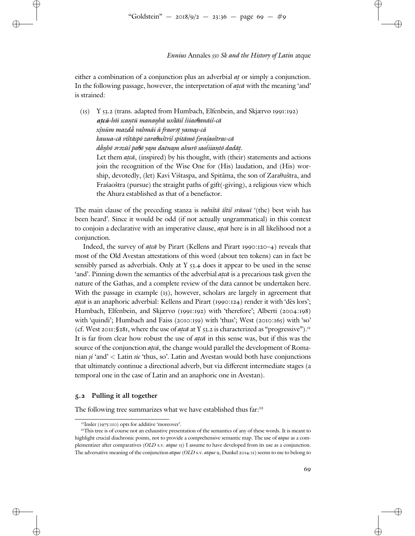✐

✐

✐

✐

either a combination of a conjunction plus an adverbial  $a\bar{t}$  or simply a conjunction. In the following passage, however, the interpretation of  $\vec{a}$  with the meaning 'and'  $\tilde{a}$ is strained:

 $(Y_5)$   $Y_5$ 3.2 (trans. adapted from Humbach, Elfenbein, and Skjærvø 1991:192) atcā=hōi scantū manaŋhā uxδāiš šiiaoθanāiš=cā ˜ xš .num mazd ¯ a vahm ˚¯ ai ¯ a fraor ¯ e t yasn ˛as™ca¯ .<br>kauua=cā vīštāspō zaraθuštriš spitāmō fərašaoštras=cā dåŋhō ərəzūš pa $\theta$ ō yam daēnam ahurō saośiiantō dadāt. Let them  $\vec{a}$  (inspired) by his thought, with (their) statements and actions join the recognition of the Wise One for (His) laudation, and (His) worship, devotedly, (let) Kavi Vištaspa, and Spitāma, the son of Zara $\theta$ uštra, and Frašaoštra (pursue) the straight paths of gift(-giving), a religious view which the Ahura established as that of a benefactor.

The main clause of the preceding stanza is *vahištā īštiš srāuuī*  $^{\circ}$ (the) best wish has been heard'. Since it would be odd (if not actually ungrammatical) in this context to conjoin a declarative with an imperative clause, *ateā* here is in all likelihood not a  $\tilde{a}$ conjunction.

Indeed, the survey of *ateā* by Pirart (Kellens and Pirart 1990:120–4) reveals that most of the Old Avestan attestations of this word (about ten tokens) can in fact be sensibly parsed as adverbials. Only at  $Y$  53.4 does it appear to be used in the sense 'and'. Pinning down the semantics of the adverbial  $\alpha t c \bar{a}$  is a precarious task given the nature of the Gathas, and a complete review of the data cannot be undertaken here. With the passage in example  $(i<sub>5</sub>)$ , however, scholars are largely in agreement that  $\alpha$ te $\bar{a}$  is an anaphoric adverbial: Kellens and Pirart (1990:124) render it with 'dès lors'; Fumbach, Elfenbein, and Skjærvø (1991:192) with 'therefore'; Alberti (2004:198) with 'quindi'; Humbach and Faiss (2010:159) with 'thus'; West (2010:165) with 'so' (cf. West 2011: \$281, where the use of atea at Y 53.2 is characterized as "progressive").<sup>II</sup> It is far from clear how robust the use of  $\vec{a}$  in this sense was, but if this was the source of the conjunction *atea*, the change would parallel the development of Romanian  $si$  'and' < Latin  $si$  'thus, so'. Latin and Avestan would both have conjunctions that ultimately continue a directional adverb, but via different intermediate stages (a temporal one in the case of Latin and an anaphoric one in Avestan).

#### **. Pulling it all together**

✐

✐

✐

✐

The following tree summarizes what we have established thus far:<sup>12</sup>

 $\text{``Insler (1975:110)}$  opts for additive 'moreover'.

<sup>&</sup>lt;sup>12</sup>This tree is of course not an exhaustive presentation of the semantics of any of these words. It is meant to highlight crucial diachronic points, not to provide a comprehensive semantic map. The use of atque as a complementizer after comparatives (OLD s.v. atque 15) I assume to have developed from its use as a conjunction. The adversative meaning of the conjunction atque (OLD s.v. atque 9, Dunkel 2014:11) seems to me to belong to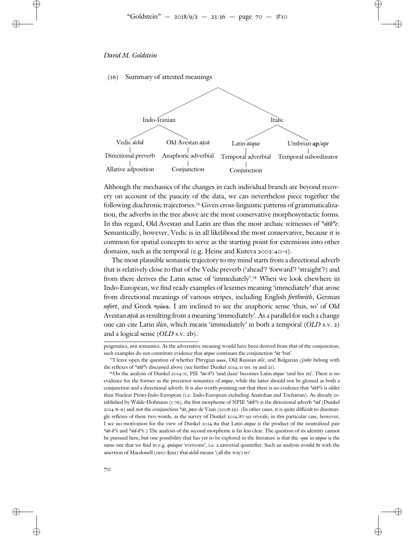✐

✐

✐

# David M. Goldstein

✐

 $\oplus$ 

(16) Summary of attested meanings



Although the mechanics of the changes in each individual branch are beyond recovery on account of the paucity of the data, we can nevertheless piece together the following diachronic trajectories.<sup>13</sup> Given cross-linguistic patterns of grammaticalization, the adverbs in the tree above are the most conservative morphosyntactic forms. In this regard, Old Avestan and Latin are thus the most archaic witnesses of \* atk<sup>w</sup>e. Semantically, however, Vedic is in all likelihood the most conservative, because it is common for spatial concepts to serve as the starting point for extensions into other domains, such as the temporal (e.g. Heine and Kuteva  $2002:40-1$ ).

The most plausible semantic trajectory to my mind starts from a directional adverb that is relatively close to that of the Vedic preverb ('ahead'? 'forward'? 'straight'?) and from there derives the Latin sense of 'immediately'.<sup>14</sup> When we look elsewhere in Indo-European, we find ready examples of lexemes meaning 'immediately' that arose from directional meanings of various stripes, including English forthwith, German sofort, and Greek  $\pi \rho \omega \omega$ . I am inclined to see the anaphoric sense 'thus, so' of Old Avestan *atcā* as resulting from a meaning 'immediately'. As a parallel for such a change one can cite Latin *ilico*, which means 'immediately' in both a temporal (OLD s.v. 2) and a logical sense (OLD s.v. 2b).

✐

pragmatics, not semantics. As the adversative meaning would have been derived from that of the conjunction, such examples do not constitute evidence that atque continues the conjunction \*at 'but'.

<sup>&</sup>lt;sup>13</sup>I leave open the question of whether Phrygian ακκε, Old Russian ošče, and Bulgarian (j)ošte belong with the reflexes of \* atk<sup>w</sup>e discussed above (see further Dunkel 2014:11 nn. 19 and 21).

be pursued here, but one possibility that has yet to be explored in the literature is that the -que in atque is the <sup>14</sup>On the analysis of Dunkel 2014:11, PIE \*at=k<sup>w</sup>e 'und dazu' becomes Latin atque 'und hin zu'. There is no evidence for the former as the precursor semantics of atque, while the latter should not be glossed as both a conjunction and a directional adverb. It is also worth pointing out that there is no evidence that \* at keep is older than Nuclear Proto-Indo-European (i.e. Indo-European excluding Anatolian and Tocharian). As already established by Walde-Hofmann (1.76), the first morpheme of NPIE \* atk<sup>w</sup>e is the directional adverb \* ad (Dunkel 2014:8-9) and not the conjunction \*át, pace de Vaan (2008:59). (In other cases, it is quite difficult to disentangle reflexes of these two words, as the survey of Dunkel 2014:87-92 reveals; in this particular case, however, I see no motivation for the view of Dunkel 2014:89 that Latin  $\alpha t$ ue is the product of the neutralized pair \*át=k<sup>w</sup>e and \*ád=k<sup>w</sup>e.) The analysis of the second morpheme is far less clear. The question of its identity cannot same one that we find in e.g. quisque 'everyone', i.e. a universal quantifier. Such an analysis would fit with the assertion of Macdonell (1910: §595) that ácha™ means '(all the way) to'.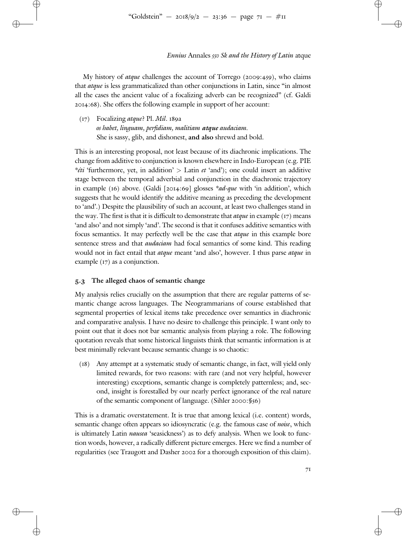✐

✐

✐

 $\oplus$ 

My history of atque challenges the account of Torrego (2009:459), who claims that *atque* is less grammaticalized than other conjunctions in Latin, since "in almost all the cases the ancient value of a focalizing adverb can be recognized" (cf. Galdi :). She offers the following example in support of her account:

 $(i7)$  Focalizing *atque*? Pl. *Mil*. 189a os habet, linguam, perfidiam, malitiam *atque* audaciam. She is sassy, glib, and dishonest, **and also** shrewd and bold.

This is an interesting proposal, not least because of its diachronic implications. The change from additive to conjunction is known elsewhere in Indo-European (e.g. PIE \**éti* 'furthermore, yet, in addition' > Latin *et* 'and'); one could insert an additive stage between the temporal adverbial and conjunction in the diachronic trajectory in example (16) above. (Galdi [2014:69] glosses  $*ad$ -que with 'in addition', which suggests that he would identify the additive meaning as preceding the development to 'and'.) Despite the plausibility of such an account, at least two challenges stand in the way. The first is that it is difficult to demonstrate that  $atque$  in example ( $17$ ) means 'and also' and not simply 'and'. The second is that it confuses additive semantics with focus semantics. It may perfectly well be the case that *atque* in this example bore sentence stress and that *audaciam* had focal semantics of some kind. This reading would not in fact entail that atque meant 'and also', however. I thus parse atque in example  $(17)$  as a conjunction.

### **. The alleged chaos of semantic change**

✐

✐

✐

 $\oplus$ 

My analysis relies crucially on the assumption that there are regular patterns of semantic change across languages. The Neogrammarians of course established that segmental properties of lexical items take precedence over semantics in diachronic and comparative analysis. I have no desire to challenge this principle. I want only to point out that it does not bar semantic analysis from playing a role. The following quotation reveals that some historical linguists think that semantic information is at best minimally relevant because semantic change is so chaotic:

(18) Any attempt at a systematic study of semantic change, in fact, will yield only limited rewards, for two reasons: with rare (and not very helpful, however interesting) exceptions, semantic change is completely patternless; and, second, insight is forestalled by our nearly perfect ignorance of the real nature of the semantic component of language. (Sihler 2000: \$56)

This is a dramatic overstatement. It is true that among lexical (i.e. content) words, semantic change often appears so idiosyncratic (e.g. the famous case of *noise*, which is ultimately Latin *nausea* 'seasickness') as to defy analysis. When we look to function words, however, a radically different picture emerges. Here we find a number of regularities (see Traugott and Dasher 2002 for a thorough exposition of this claim).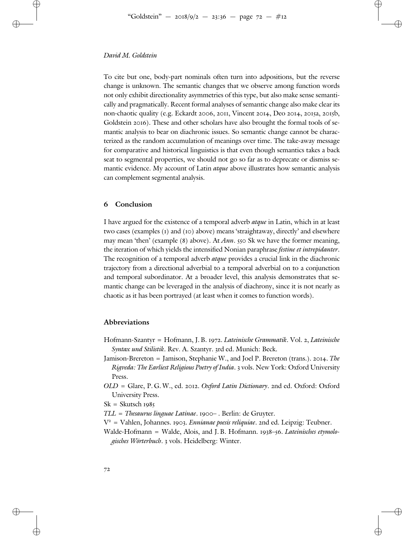✐

✐

 $\oplus$ 

# David M. Goldstein

✐

 $\oplus$ 

To cite but one, body-part nominals often turn into adpositions, but the reverse change is unknown. The semantic changes that we observe among function words not only exhibit directionality asymmetries of this type, but also make sense semantically and pragmatically. Recent formal analyses of semantic change also make clear its non-chaotic quality (e.g. Eckardt 2006, 2011, Vincent 2014, Deo 2014, 2015a, 2015b, Goldstein 2016). These and other scholars have also brought the formal tools of semantic analysis to bear on diachronic issues. So semantic change cannot be characterized as the random accumulation of meanings over time. The take-away message for comparative and historical linguistics is that even though semantics takes a back seat to segmental properties, we should not go so far as to deprecate or dismiss semantic evidence. My account of Latin *atque* above illustrates how semantic analysis can complement segmental analysis.

# **Conclusion**

I have argued for the existence of a temporal adverb *atque* in Latin, which in at least two cases (examples (1) and (10) above) means 'straightaway, directly' and elsewhere may mean 'then' (example (8) above). At  $Ann.$  550 Sk we have the former meaning, the iteration of which yields the intensified Nonian paraphrase *festine et intrepidanter*. The recognition of a temporal adverb *atque* provides a crucial link in the diachronic trajectory from a directional adverbial to a temporal adverbial on to a conjunction and temporal subordinator. At a broader level, this analysis demonstrates that semantic change can be leveraged in the analysis of diachrony, since it is not nearly as chaotic as it has been portrayed (at least when it comes to function words).

#### **Abbreviations**

- Hofmann-Szantyr = Hofmann, J. B. 1972. Lateinische Grammatik. Vol. 2, Lateinische Syntax und Stilistik. Rev. A. Szantyr. 3rd ed. Munich: Beck.
- Jamison-Brereton = Jamison, Stephanie W., and Joel P. Brereton (trans.). 2014. The Rigveda: The Earliest Religious Poetry of India. 3 vols. New York: Oxford University Press.
- OLD = Glare, P. G. W., ed. 2012. Oxford Latin Dictionary. 2nd ed. Oxford: Oxford University Press.

 $Sk = Skutsch$  1985

TLL = Thesaurus linguae Latinae. 1900-. Berlin: de Gruyter.

- $V^2$  = Vahlen, Johannes. 1903. *Ennianae poesis reliquiae*. 2nd ed. Leipzig: Teubner.
- Walde-Hofmann = Walde, Alois, and J. B. Hofmann. 1938-56. Lateinisches etymologisches Wörterbuch. 3 vols. Heidelberg: Winter.

✐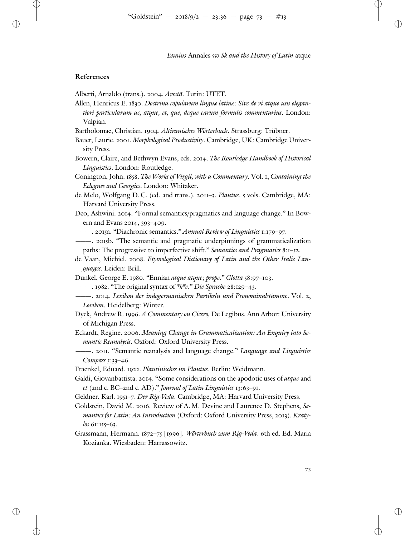✐

✐

✐

 $\oplus$ 

#### **References**

✐

✐

✐

 $\oplus$ 

| Alberti, Arnaldo (trans.). 2004. Avestā. Turin: UTET. |  |  |  |  |
|-------------------------------------------------------|--|--|--|--|
|-------------------------------------------------------|--|--|--|--|

- Allen, Henricus E. 1830. Doctrina copularum lingua latina: Sive de vi atque usu elegantiori particularum ac, atque, et, que, deque earum formulis commentarius. London: Valpian.
- Bartholomae, Christian. 1904. Altiranisches Wörterbuch. Strassburg: Trübner.

Bauer, Laurie. 2001. Morphological Productivity. Cambridge, UK: Cambridge University Press.

- Bowern, Claire, and Bethwyn Evans, eds. 2014. The Routledge Handbook of Historical Linguistics. London: Routledge.
- Conington, John. 1858. The Works of Virgil, with a Commentary. Vol. 1, Containing the Eclogues and Georgics. London: Whitaker.

de Melo, Wolfgang D. C. (ed. and trans.). 2011-3. Plautus. 5 vols. Cambridge, MA: Harvard University Press.

Deo, Ashwini. 2014. "Formal semantics/pragmatics and language change." In Bowern and Evans 2014, 393-409.

———. 2015а. "Diachronic semantics." Annual Review of Linguistics 1:179–97.

———. b. "The semantic and pragmatic underpinnings of grammaticalization paths: The progressive to imperfective shift." Semantics and Pragmatics  $8:1-52$ .

- de Vaan, Michiel. 2008. Etymological Dictionary of Latin and the Other Italic Languages. Leiden: Brill.
- Dunkel, George E. 1980. "Ennian atque atque; prope." Glotta 58:97-103.
- ———. . "The original syntax of \*k w e." Die Sprache :–.
- <sup>—————</sup>. 2014. Lexikon der indogermanischen Partikeln und Pronominalstämme. Vol. 2, Lexikon. Heidelberg: Winter.
- Dyck, Andrew R. 1996. A Commentary on Cicero, De Legibus. Ann Arbor: University of Michigan Press.

Eckardt, Regine. 2006. Meaning Change in Grammaticalization: An Enquiry into Semantic Reanalysis. Oxford: Oxford University Press.

- 2011. "Semantic reanalysis and language change." Language and Linguistics Compass 5:33-46.

Fraenkel, Eduard. 1922. Plautinisches im Plautus. Berlin: Weidmann.

- Galdi, Giovanbattista. 2014. "Some considerations on the apodotic uses of atque and et (2nd c. BC–2nd c. AD)." Journal of Latin Linguistics  $13:63-91$ .
- Geldner, Karl. 1951-7. Der Rig-Veda. Cambridge, MA: Harvard University Press.

Goldstein, David M. 2016. Review of A. M. Devine and Laurence D. Stephens, Semantics for Latin: An Introduction (Oxford: Oxford University Press, 2013). Kraty- $\log 61:155-63.$ 

Grassmann, Hermann. 1872–75 [1996]. Wörterbuch zum Rig-Veda. 6th ed. Ed. Maria Kozianka. Wiesbaden: Harrassowitz.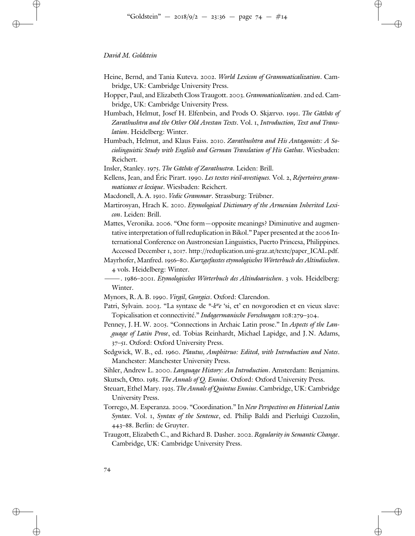✐

 $\oplus$ 

Heine, Bernd, and Tania Kuteva. 2002. World Lexicon of Grammaticalization. Cambridge, UK: Cambridge University Press.

✐

✐

✐

 $\oplus$ 

- Hopper, Paul, and Elizabeth Closs Traugott. 2003. *Grammaticalization*. 2nd ed. Cambridge, UK: Cambridge University Press.
- Humbach, Helmut, Josef H. Elfenbein, and Prods O. Skjærvø. 1991. The Gāthās of Zarathushtra and the Other Old Avestan Texts. Vol. 1, Introduction, Text and Translation. Heidelberg: Winter.
- Humbach, Helmut, and Klaus Faiss. 2010. Zarathushtra and His Antagonists: A Sociolinguistic Study with English and German Translation of His Gathas. Wiesbaden: Reichert.
- Insler, Stanley. 1975. The Gāthās of Zarathustra. Leiden: Brill.
- Kellens, Jean, and Éric Pirart. 1990. Les textes vieil-avestiques. Vol. 2, Répertoires grammaticaux et lexique. Wiesbaden: Reichert.
- Macdonell, A. A. 1910. Vedic Grammar. Strassburg: Trübner.
- Martirosyan, Hrach K. 2010. Etymological Dictionary of the Armenian Inherited Lexicon. Leiden: Brill.
- Mattes, Veronika. 2006. "One form—opposite meanings? Diminutive and augmentative interpretation of full reduplication in Bikol." Paper presented at the 2006 International Conference on Austronesian Linguistics, Puerto Princesa, Philippines. Accessed December 1, 2017. http://reduplication.uni-graz.at/texte/paper\_ICAL.pdf.
- Mayrhofer, Manfred. 1956–80. Kurzgefasstes etymologisches Wörterbuch des Altindischen. vols. Heidelberg: Winter.
	- -. 1986-2001. Etymologisches Wörterbuch des Altindoarischen. 3 vols. Heidelberg: Winter.
- Mynors, R. A. B. 1990. Virgil, Georgics. Oxford: Clarendon.
- Patri, Sylvain. 2003. "La syntaxe de \*-k"e 'si, et' en novgorodien et en vieux slave: Topicalisation et connectivité." Indogermanische Forschungen 108:279-304.
- Penney, J. H. W. 2005. "Connections in Archaic Latin prose." In Aspects of the Language of Latin Prose, ed. Tobias Reinhardt, Michael Lapidge, and J. N. Adams, 37-51. Oxford: Oxford University Press.
- Sedgwick, W. B., ed. 1960. Plautus, Amphitruo: Edited, with Introduction and Notes. Manchester: Manchester University Press.
- Sihler, Andrew L. 2000. Language History: An Introduction. Amsterdam: Benjamins.
- Skutsch, Otto. 1985. The Annals of Q. Ennius. Oxford: Oxford University Press.
- Steuart, Ethel Mary. 1925. The Annals of Quintus Ennius. Cambridge, UK: Cambridge University Press.
- Torrego, M. Esperanza. 2009. "Coordination." In New Perspectives on Historical Latin Syntax. Vol. 1, Syntax of the Sentence, ed. Philip Baldi and Pierluigi Cuzzolin, 443–88. Berlin: de Gruyter.
- Traugott, Elizabeth C., and Richard B. Dasher. 2002. Regularity in Semantic Change. Cambridge, UK: Cambridge University Press.

✐